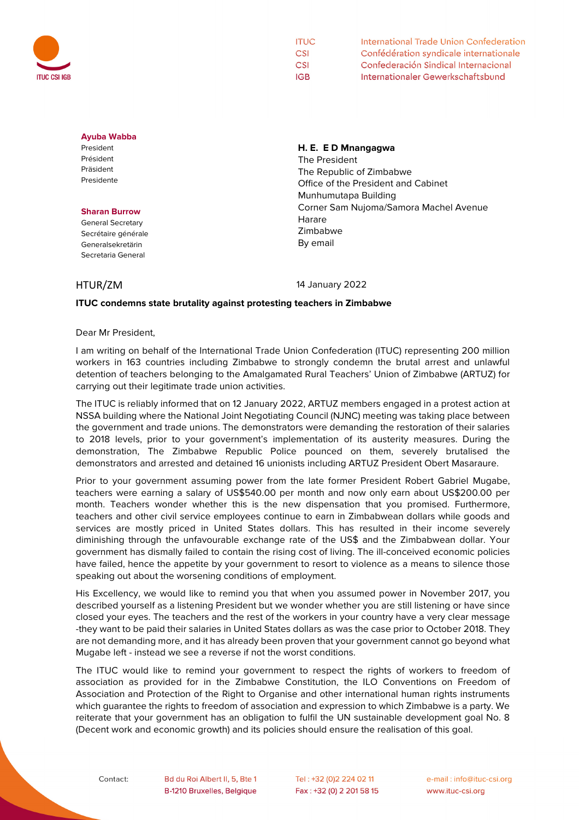

| <b>ITUC</b> | International Trade Union Confederation |
|-------------|-----------------------------------------|
| <b>CSI</b>  | Confédération syndicale internationale  |
| <b>CSI</b>  | Confederación Sindical Internacional    |
| IGB         | Internationaler Gewerkschaftsbund       |

### **Ayuba Wabba**

President Président Präsident Presidente

#### **Sharan Burrow**

General Secretary Secrétaire générale Generalsekretärin Secretaria General

## **H. E. E D Mnangagwa**

The President The Republic of Zimbabwe Office of the President and Cabinet Munhumutapa Building Corner Sam Nujoma/Samora Machel Avenue Harare Zimbabwe By email

HTUR/ZM 14 January 2022

# **ITUC condemns state brutality against protesting teachers in Zimbabwe**

Dear Mr President,

I am writing on behalf of the International Trade Union Confederation (ITUC) representing 200 million workers in 163 countries including Zimbabwe to strongly condemn the brutal arrest and unlawful detention of teachers belonging to the Amalgamated Rural Teachers' Union of Zimbabwe (ARTUZ) for carrying out their legitimate trade union activities.

The ITUC is reliably informed that on 12 January 2022, ARTUZ members engaged in a protest action at NSSA building where the National Joint Negotiating Council (NJNC) meeting was taking place between the government and trade unions. The demonstrators were demanding the restoration of their salaries to 2018 levels, prior to your government's implementation of its austerity measures. During the demonstration, The Zimbabwe Republic Police pounced on them, severely brutalised the demonstrators and arrested and detained 16 unionists including ARTUZ President Obert Masaraure.

Prior to your government assuming power from the late former President Robert Gabriel Mugabe, teachers were earning a salary of US\$540.00 per month and now only earn about US\$200.00 per month. Teachers wonder whether this is the new dispensation that you promised. Furthermore, teachers and other civil service employees continue to earn in Zimbabwean dollars while goods and services are mostly priced in United States dollars. This has resulted in their income severely diminishing through the unfavourable exchange rate of the US\$ and the Zimbabwean dollar. Your government has dismally failed to contain the rising cost of living. The ill-conceived economic policies have failed, hence the appetite by your government to resort to violence as a means to silence those speaking out about the worsening conditions of employment.

His Excellency, we would like to remind you that when you assumed power in November 2017, you described yourself as a listening President but we wonder whether you are still listening or have since closed your eyes. The teachers and the rest of the workers in your country have a very clear message -they want to be paid their salaries in United States dollars as was the case prior to October 2018. They are not demanding more, and it has already been proven that your government cannot go beyond what Mugabe left - instead we see a reverse if not the worst conditions.

The ITUC would like to remind your government to respect the rights of workers to freedom of association as provided for in the Zimbabwe Constitution, the ILO Conventions on Freedom of Association and Protection of the Right to Organise and other international human rights instruments which guarantee the rights to freedom of association and expression to which Zimbabwe is a party. We reiterate that your government has an obligation to fulfil the UN sustainable development goal No. 8 (Decent work and economic growth) and its policies should ensure the realisation of this goal.

Contact:

Bd du Roi Albert II, 5, Bte 1 B-1210 Bruxelles, Belgique

Tel: +32 (0)2 224 02 11 Fax: +32 (0) 2 201 58 15 e-mail: info@ituc-csi.org www.ituc-csi.org